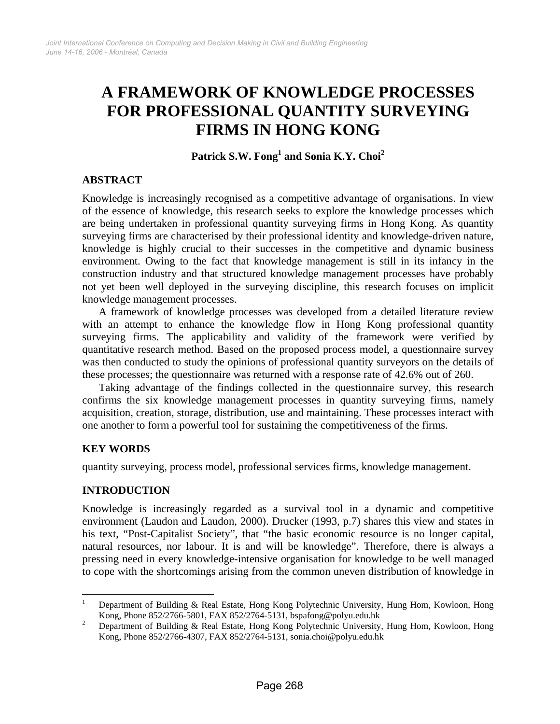# **A FRAMEWORK OF KNOWLEDGE PROCESSES FOR PROFESSIONAL QUANTITY SURVEYING FIRMS IN HONG KONG**

**Patrick S.W. Fong1 and Sonia K.Y. Choi<sup>2</sup>**

## **ABSTRACT**

Knowledge is increasingly recognised as a competitive advantage of organisations. In view of the essence of knowledge, this research seeks to explore the knowledge processes which are being undertaken in professional quantity surveying firms in Hong Kong. As quantity surveying firms are characterised by their professional identity and knowledge-driven nature, knowledge is highly crucial to their successes in the competitive and dynamic business environment. Owing to the fact that knowledge management is still in its infancy in the construction industry and that structured knowledge management processes have probably not yet been well deployed in the surveying discipline, this research focuses on implicit knowledge management processes.

A framework of knowledge processes was developed from a detailed literature review with an attempt to enhance the knowledge flow in Hong Kong professional quantity surveying firms. The applicability and validity of the framework were verified by quantitative research method. Based on the proposed process model, a questionnaire survey was then conducted to study the opinions of professional quantity surveyors on the details of these processes; the questionnaire was returned with a response rate of 42.6% out of 260.

Taking advantage of the findings collected in the questionnaire survey, this research confirms the six knowledge management processes in quantity surveying firms, namely acquisition, creation, storage, distribution, use and maintaining. These processes interact with one another to form a powerful tool for sustaining the competitiveness of the firms.

## **KEY WORDS**

quantity surveying, process model, professional services firms, knowledge management.

## **INTRODUCTION**

Knowledge is increasingly regarded as a survival tool in a dynamic and competitive environment (Laudon and Laudon, 2000). Drucker (1993, p.7) shares this view and states in his text, "Post-Capitalist Society", that "the basic economic resource is no longer capital, natural resources, nor labour. It is and will be knowledge". Therefore, there is always a pressing need in every knowledge-intensive organisation for knowledge to be well managed to cope with the shortcomings arising from the common uneven distribution of knowledge in

 $\frac{1}{1}$  Department of Building & Real Estate, Hong Kong Polytechnic University, Hung Hom, Kowloon, Hong Kong, Phone 852/2766-5801, FAX 852/2764-5131, bspafong@polyu.edu.hk<br><sup>2</sup> Department of Building & Pool Estate, Hong Kong Polytechnic University

Department of Building & Real Estate, Hong Kong Polytechnic University, Hung Hom, Kowloon, Hong Kong, Phone 852/2766-4307, FAX 852/2764-5131, sonia.choi@polyu.edu.hk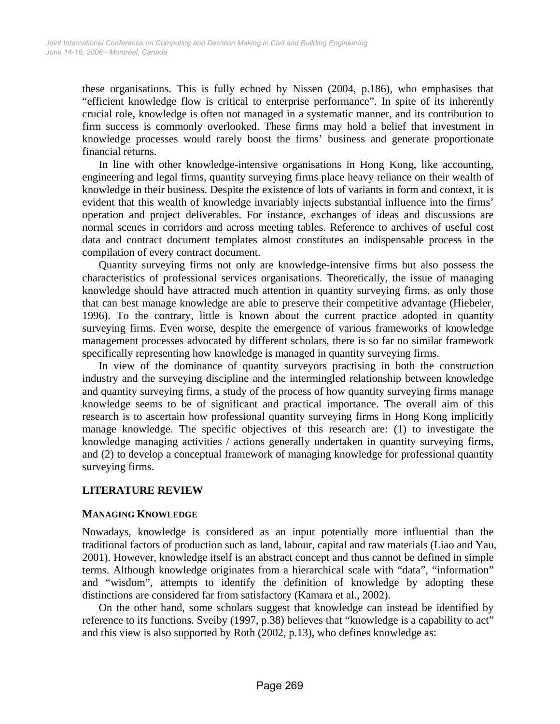these organisations. This is fully echoed by Nissen (2004, p.186), who emphasises that "efficient knowledge flow is critical to enterprise performance". In spite of its inherently crucial role, knowledge is often not managed in a systematic manner, and its contribution to firm success is commonly overlooked. These firms may hold a belief that investment in knowledge processes would rarely boost the firms' business and generate proportionate financial returns.

In line with other knowledge-intensive organisations in Hong Kong, like accounting, engineering and legal firms, quantity surveying firms place heavy reliance on their wealth of knowledge in their business. Despite the existence of lots of variants in form and context, it is evident that this wealth of knowledge invariably injects substantial influence into the firms' operation and project deliverables. For instance, exchanges of ideas and discussions are normal scenes in corridors and across meeting tables. Reference to archives of useful cost data and contract document templates almost constitutes an indispensable process in the compilation of every contract document.

Quantity surveying firms not only are knowledge-intensive firms but also possess the characteristics of professional services organisations. Theoretically, the issue of managing knowledge should have attracted much attention in quantity surveying firms, as only those that can best manage knowledge are able to preserve their competitive advantage (Hiebeler, 1996). To the contrary, little is known about the current practice adopted in quantity surveying firms. Even worse, despite the emergence of various frameworks of knowledge management processes advocated by different scholars, there is so far no similar framework specifically representing how knowledge is managed in quantity surveying firms.

In view of the dominance of quantity surveyors practising in both the construction industry and the surveying discipline and the intermingled relationship between knowledge and quantity surveying firms, a study of the process of how quantity surveying firms manage knowledge seems to be of significant and practical importance. The overall aim of this research is to ascertain how professional quantity surveying firms in Hong Kong implicitly manage knowledge. The specific objectives of this research are: (1) to investigate the knowledge managing activities / actions generally undertaken in quantity surveying firms, and (2) to develop a conceptual framework of managing knowledge for professional quantity surveying firms.

## **LITERATURE REVIEW**

#### **MANAGING KNOWLEDGE**

Nowadays, knowledge is considered as an input potentially more influential than the traditional factors of production such as land, labour, capital and raw materials (Liao and Yau, 2001). However, knowledge itself is an abstract concept and thus cannot be defined in simple terms. Although knowledge originates from a hierarchical scale with "data", "information" and "wisdom", attempts to identify the definition of knowledge by adopting these distinctions are considered far from satisfactory (Kamara et al., 2002).

On the other hand, some scholars suggest that knowledge can instead be identified by reference to its functions. Sveiby (1997, p.38) believes that "knowledge is a capability to act" and this view is also supported by Roth (2002, p.13), who defines knowledge as: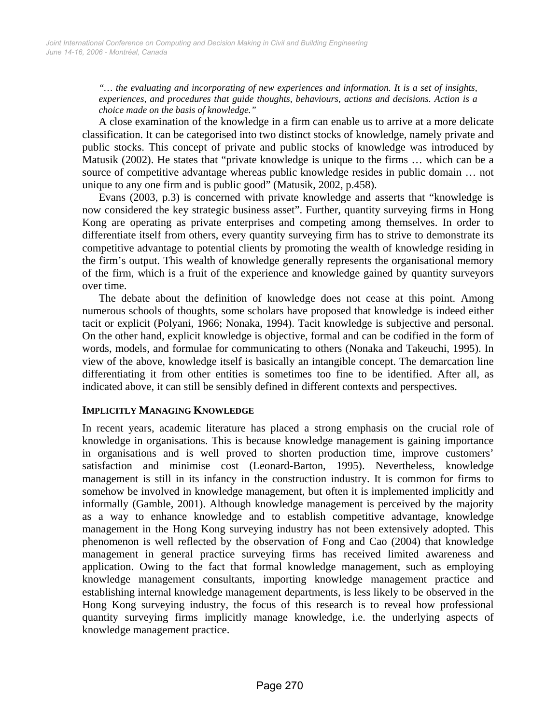*"… the evaluating and incorporating of new experiences and information. It is a set of insights, experiences, and procedures that guide thoughts, behaviours, actions and decisions. Action is a choice made on the basis of knowledge."* 

A close examination of the knowledge in a firm can enable us to arrive at a more delicate classification. It can be categorised into two distinct stocks of knowledge, namely private and public stocks. This concept of private and public stocks of knowledge was introduced by Matusik (2002). He states that "private knowledge is unique to the firms … which can be a source of competitive advantage whereas public knowledge resides in public domain … not unique to any one firm and is public good" (Matusik, 2002, p.458).

Evans (2003, p.3) is concerned with private knowledge and asserts that "knowledge is now considered the key strategic business asset". Further, quantity surveying firms in Hong Kong are operating as private enterprises and competing among themselves. In order to differentiate itself from others, every quantity surveying firm has to strive to demonstrate its competitive advantage to potential clients by promoting the wealth of knowledge residing in the firm's output. This wealth of knowledge generally represents the organisational memory of the firm, which is a fruit of the experience and knowledge gained by quantity surveyors over time.

The debate about the definition of knowledge does not cease at this point. Among numerous schools of thoughts, some scholars have proposed that knowledge is indeed either tacit or explicit (Polyani, 1966; Nonaka, 1994). Tacit knowledge is subjective and personal. On the other hand, explicit knowledge is objective, formal and can be codified in the form of words, models, and formulae for communicating to others (Nonaka and Takeuchi, 1995). In view of the above, knowledge itself is basically an intangible concept. The demarcation line differentiating it from other entities is sometimes too fine to be identified. After all, as indicated above, it can still be sensibly defined in different contexts and perspectives.

#### **IMPLICITLY MANAGING KNOWLEDGE**

In recent years, academic literature has placed a strong emphasis on the crucial role of knowledge in organisations. This is because knowledge management is gaining importance in organisations and is well proved to shorten production time, improve customers' satisfaction and minimise cost (Leonard-Barton, 1995). Nevertheless, knowledge management is still in its infancy in the construction industry. It is common for firms to somehow be involved in knowledge management, but often it is implemented implicitly and informally (Gamble, 2001). Although knowledge management is perceived by the majority as a way to enhance knowledge and to establish competitive advantage, knowledge management in the Hong Kong surveying industry has not been extensively adopted. This phenomenon is well reflected by the observation of Fong and Cao (2004) that knowledge management in general practice surveying firms has received limited awareness and application. Owing to the fact that formal knowledge management, such as employing knowledge management consultants, importing knowledge management practice and establishing internal knowledge management departments, is less likely to be observed in the Hong Kong surveying industry, the focus of this research is to reveal how professional quantity surveying firms implicitly manage knowledge, i.e. the underlying aspects of knowledge management practice.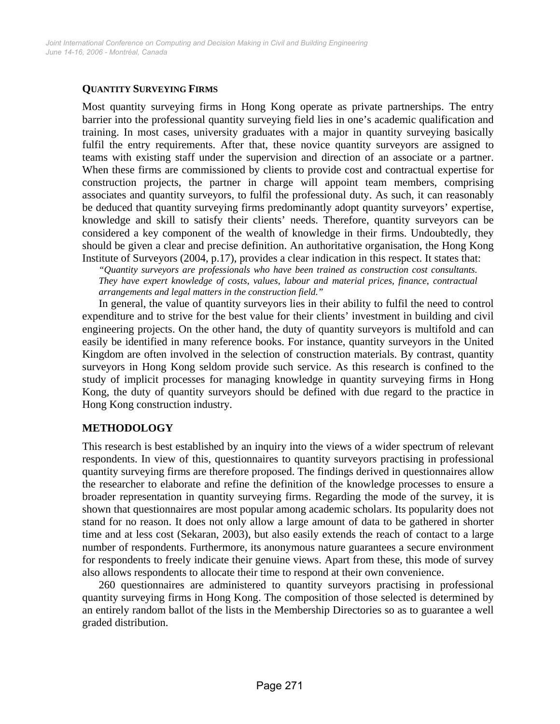#### **QUANTITY SURVEYING FIRMS**

Most quantity surveying firms in Hong Kong operate as private partnerships. The entry barrier into the professional quantity surveying field lies in one's academic qualification and training. In most cases, university graduates with a major in quantity surveying basically fulfil the entry requirements. After that, these novice quantity surveyors are assigned to teams with existing staff under the supervision and direction of an associate or a partner. When these firms are commissioned by clients to provide cost and contractual expertise for construction projects, the partner in charge will appoint team members, comprising associates and quantity surveyors, to fulfil the professional duty. As such, it can reasonably be deduced that quantity surveying firms predominantly adopt quantity surveyors' expertise, knowledge and skill to satisfy their clients' needs. Therefore, quantity surveyors can be considered a key component of the wealth of knowledge in their firms. Undoubtedly, they should be given a clear and precise definition. An authoritative organisation, the Hong Kong Institute of Surveyors (2004, p.17), provides a clear indication in this respect. It states that:

*"Quantity surveyors are professionals who have been trained as construction cost consultants. They have expert knowledge of costs, values, labour and material prices, finance, contractual arrangements and legal matters in the construction field."* 

In general, the value of quantity surveyors lies in their ability to fulfil the need to control expenditure and to strive for the best value for their clients' investment in building and civil engineering projects. On the other hand, the duty of quantity surveyors is multifold and can easily be identified in many reference books. For instance, quantity surveyors in the United Kingdom are often involved in the selection of construction materials. By contrast, quantity surveyors in Hong Kong seldom provide such service. As this research is confined to the study of implicit processes for managing knowledge in quantity surveying firms in Hong Kong, the duty of quantity surveyors should be defined with due regard to the practice in Hong Kong construction industry.

## **METHODOLOGY**

This research is best established by an inquiry into the views of a wider spectrum of relevant respondents. In view of this, questionnaires to quantity surveyors practising in professional quantity surveying firms are therefore proposed. The findings derived in questionnaires allow the researcher to elaborate and refine the definition of the knowledge processes to ensure a broader representation in quantity surveying firms. Regarding the mode of the survey, it is shown that questionnaires are most popular among academic scholars. Its popularity does not stand for no reason. It does not only allow a large amount of data to be gathered in shorter time and at less cost (Sekaran, 2003), but also easily extends the reach of contact to a large number of respondents. Furthermore, its anonymous nature guarantees a secure environment for respondents to freely indicate their genuine views. Apart from these, this mode of survey also allows respondents to allocate their time to respond at their own convenience.

260 questionnaires are administered to quantity surveyors practising in professional quantity surveying firms in Hong Kong. The composition of those selected is determined by an entirely random ballot of the lists in the Membership Directories so as to guarantee a well graded distribution.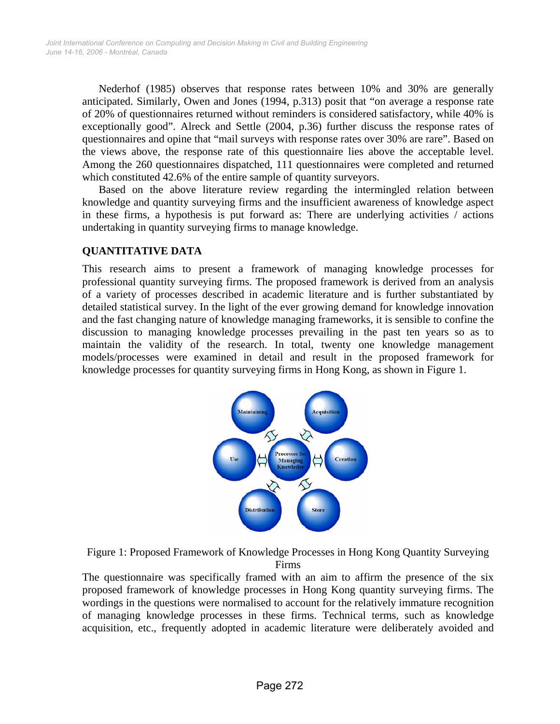Nederhof (1985) observes that response rates between 10% and 30% are generally anticipated. Similarly, Owen and Jones (1994, p.313) posit that "on average a response rate of 20% of questionnaires returned without reminders is considered satisfactory, while 40% is exceptionally good". Alreck and Settle (2004, p.36) further discuss the response rates of questionnaires and opine that "mail surveys with response rates over 30% are rare". Based on the views above, the response rate of this questionnaire lies above the acceptable level. Among the 260 questionnaires dispatched, 111 questionnaires were completed and returned which constituted 42.6% of the entire sample of quantity surveyors.

Based on the above literature review regarding the intermingled relation between knowledge and quantity surveying firms and the insufficient awareness of knowledge aspect in these firms, a hypothesis is put forward as: There are underlying activities / actions undertaking in quantity surveying firms to manage knowledge.

# **QUANTITATIVE DATA**

This research aims to present a framework of managing knowledge processes for professional quantity surveying firms. The proposed framework is derived from an analysis of a variety of processes described in academic literature and is further substantiated by detailed statistical survey. In the light of the ever growing demand for knowledge innovation and the fast changing nature of knowledge managing frameworks, it is sensible to confine the discussion to managing knowledge processes prevailing in the past ten years so as to maintain the validity of the research. In total, twenty one knowledge management models/processes were examined in detail and result in the proposed framework for knowledge processes for quantity surveying firms in Hong Kong, as shown in Figure 1.



Figure 1: Proposed Framework of Knowledge Processes in Hong Kong Quantity Surveying Firms

The questionnaire was specifically framed with an aim to affirm the presence of the six proposed framework of knowledge processes in Hong Kong quantity surveying firms. The wordings in the questions were normalised to account for the relatively immature recognition of managing knowledge processes in these firms. Technical terms, such as knowledge acquisition, etc., frequently adopted in academic literature were deliberately avoided and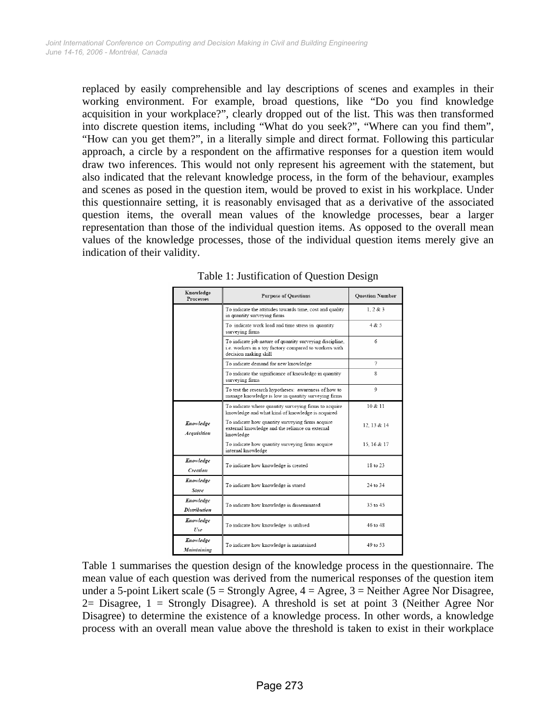replaced by easily comprehensible and lay descriptions of scenes and examples in their working environment. For example, broad questions, like "Do you find knowledge acquisition in your workplace?", clearly dropped out of the list. This was then transformed into discrete question items, including "What do you seek?", "Where can you find them", "How can you get them?", in a literally simple and direct format. Following this particular approach, a circle by a respondent on the affirmative responses for a question item would draw two inferences. This would not only represent his agreement with the statement, but also indicated that the relevant knowledge process, in the form of the behaviour, examples and scenes as posed in the question item, would be proved to exist in his workplace. Under this questionnaire setting, it is reasonably envisaged that as a derivative of the associated question items, the overall mean values of the knowledge processes, bear a larger representation than those of the individual question items. As opposed to the overall mean values of the knowledge processes, those of the individual question items merely give an indication of their validity.

| Knowledge<br>Processes           | <b>Purpose of Questions</b>                                                                                                                 | <b>Question Number</b> |
|----------------------------------|---------------------------------------------------------------------------------------------------------------------------------------------|------------------------|
|                                  | To indicate the attitudes towards time, cost and quality<br>in quantity surveying firms                                                     | 1, 2 & 3               |
|                                  | To indicate work load and time stress in quantity<br>surveying firms                                                                        | 4 & 5                  |
|                                  | To indicate job nature of quantity surveying discipline,<br>i.e. workers in a toy factory compared to workers with<br>decision making skill | 6                      |
|                                  | To indicate demand for new knowledge                                                                                                        | 7                      |
|                                  | To indicate the significance of knowledge in quantity<br>surveying firms                                                                    | 8                      |
|                                  | To test the research hypotheses: awareness of how to<br>manage knowledge is low in quantity surveying firms                                 | 9                      |
|                                  | To indicate where quantity surveying firms to acquire<br>knowledge and what kind of knowledge is acquired                                   | 10 & 11                |
| Knowledge<br>Acquisition         | To indicate how quantity surveying firms acquire<br>external knowledge and the reliance on external<br>knowledge                            | 12.13 & 14             |
|                                  | To indicate how quantity surveying firms acquire<br>internal knowledge                                                                      | 15.16 & 17             |
| Knowledge<br>Creation            | To indicate how knowledge is created                                                                                                        | 18 to 23               |
| Knowledge<br>Store               | To indicate how knowledge is stored                                                                                                         | 24 to 34               |
| Knowledge<br><b>Distribution</b> | To indicate how knowledge is disseminated                                                                                                   | 35 to 45               |
| Knowledge<br>Use                 | To indicate how knowledge is utilised                                                                                                       | 46 to 48               |
| Knowledge<br>Maintaining         | To indicate how knowledge is maintained                                                                                                     | 49 to 53               |

Table 1: Justification of Question Design

Table 1 summarises the question design of the knowledge process in the questionnaire. The mean value of each question was derived from the numerical responses of the question item under a 5-point Likert scale ( $5 =$  Strongly Agree,  $4 =$  Agree,  $3 =$  Neither Agree Nor Disagree, 2= Disagree,  $1 =$  Strongly Disagree). A threshold is set at point 3 (Neither Agree Nor Disagree) to determine the existence of a knowledge process. In other words, a knowledge process with an overall mean value above the threshold is taken to exist in their workplace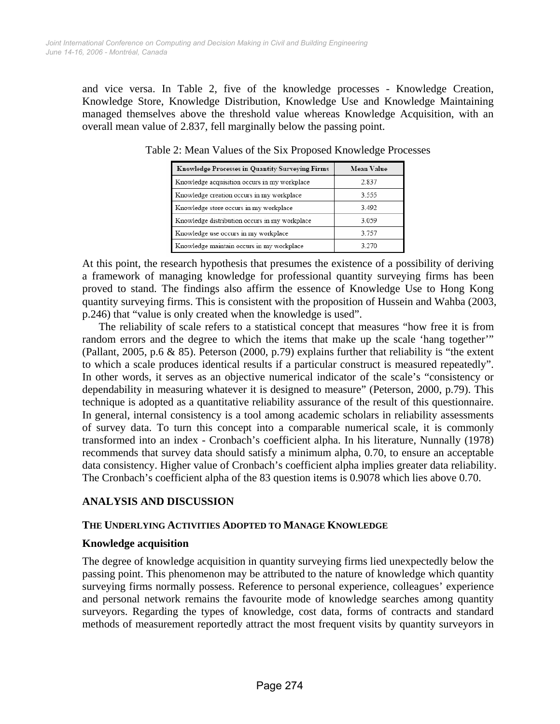and vice versa. In Table 2, five of the knowledge processes - Knowledge Creation, Knowledge Store, Knowledge Distribution, Knowledge Use and Knowledge Maintaining managed themselves above the threshold value whereas Knowledge Acquisition, with an overall mean value of 2.837, fell marginally below the passing point.

| <b>Knowledge Processes in Quantity Surveying Firms</b> | Mean Value |
|--------------------------------------------------------|------------|
| Knowledge acquisition occurs in my workplace           | 2.837      |
| Knowledge creation occurs in my workplace              | 3.555      |
| Knowledge store occurs in my workplace                 | 3492       |
| Knowledge distribution occurs in my workplace          | 3 0 5 9    |
| Knowledge use occurs in my workplace                   | 3 7 5 7    |
| Knowledge maintain occurs in my workplace              | 3 270      |

Table 2: Mean Values of the Six Proposed Knowledge Processes

At this point, the research hypothesis that presumes the existence of a possibility of deriving a framework of managing knowledge for professional quantity surveying firms has been proved to stand. The findings also affirm the essence of Knowledge Use to Hong Kong quantity surveying firms. This is consistent with the proposition of Hussein and Wahba (2003, p.246) that "value is only created when the knowledge is used".

The reliability of scale refers to a statistical concept that measures "how free it is from random errors and the degree to which the items that make up the scale 'hang together'" (Pallant, 2005, p.6 & 85). Peterson (2000, p.79) explains further that reliability is "the extent to which a scale produces identical results if a particular construct is measured repeatedly". In other words, it serves as an objective numerical indicator of the scale's "consistency or dependability in measuring whatever it is designed to measure" (Peterson, 2000, p.79). This technique is adopted as a quantitative reliability assurance of the result of this questionnaire. In general, internal consistency is a tool among academic scholars in reliability assessments of survey data. To turn this concept into a comparable numerical scale, it is commonly transformed into an index - Cronbach's coefficient alpha. In his literature, Nunnally (1978) recommends that survey data should satisfy a minimum alpha, 0.70, to ensure an acceptable data consistency. Higher value of Cronbach's coefficient alpha implies greater data reliability. The Cronbach's coefficient alpha of the 83 question items is 0.9078 which lies above 0.70.

## **ANALYSIS AND DISCUSSION**

#### **THE UNDERLYING ACTIVITIES ADOPTED TO MANAGE KNOWLEDGE**

## **Knowledge acquisition**

The degree of knowledge acquisition in quantity surveying firms lied unexpectedly below the passing point. This phenomenon may be attributed to the nature of knowledge which quantity surveying firms normally possess. Reference to personal experience, colleagues' experience and personal network remains the favourite mode of knowledge searches among quantity surveyors. Regarding the types of knowledge, cost data, forms of contracts and standard methods of measurement reportedly attract the most frequent visits by quantity surveyors in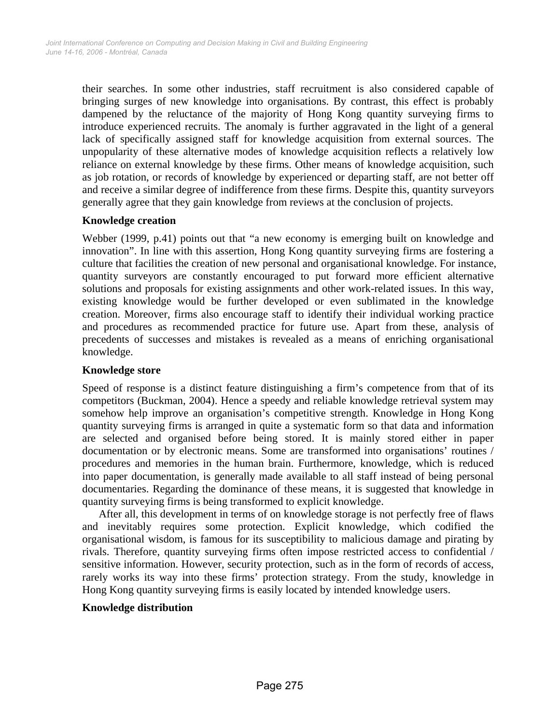their searches. In some other industries, staff recruitment is also considered capable of bringing surges of new knowledge into organisations. By contrast, this effect is probably dampened by the reluctance of the majority of Hong Kong quantity surveying firms to introduce experienced recruits. The anomaly is further aggravated in the light of a general lack of specifically assigned staff for knowledge acquisition from external sources. The unpopularity of these alternative modes of knowledge acquisition reflects a relatively low reliance on external knowledge by these firms. Other means of knowledge acquisition, such as job rotation, or records of knowledge by experienced or departing staff, are not better off and receive a similar degree of indifference from these firms. Despite this, quantity surveyors generally agree that they gain knowledge from reviews at the conclusion of projects.

#### **Knowledge creation**

Webber (1999, p.41) points out that "a new economy is emerging built on knowledge and innovation". In line with this assertion, Hong Kong quantity surveying firms are fostering a culture that facilities the creation of new personal and organisational knowledge. For instance, quantity surveyors are constantly encouraged to put forward more efficient alternative solutions and proposals for existing assignments and other work-related issues. In this way, existing knowledge would be further developed or even sublimated in the knowledge creation. Moreover, firms also encourage staff to identify their individual working practice and procedures as recommended practice for future use. Apart from these, analysis of precedents of successes and mistakes is revealed as a means of enriching organisational knowledge.

## **Knowledge store**

Speed of response is a distinct feature distinguishing a firm's competence from that of its competitors (Buckman, 2004). Hence a speedy and reliable knowledge retrieval system may somehow help improve an organisation's competitive strength. Knowledge in Hong Kong quantity surveying firms is arranged in quite a systematic form so that data and information are selected and organised before being stored. It is mainly stored either in paper documentation or by electronic means. Some are transformed into organisations' routines / procedures and memories in the human brain. Furthermore, knowledge, which is reduced into paper documentation, is generally made available to all staff instead of being personal documentaries. Regarding the dominance of these means, it is suggested that knowledge in quantity surveying firms is being transformed to explicit knowledge.

After all, this development in terms of on knowledge storage is not perfectly free of flaws and inevitably requires some protection. Explicit knowledge, which codified the organisational wisdom, is famous for its susceptibility to malicious damage and pirating by rivals. Therefore, quantity surveying firms often impose restricted access to confidential / sensitive information. However, security protection, such as in the form of records of access, rarely works its way into these firms' protection strategy. From the study, knowledge in Hong Kong quantity surveying firms is easily located by intended knowledge users.

#### **Knowledge distribution**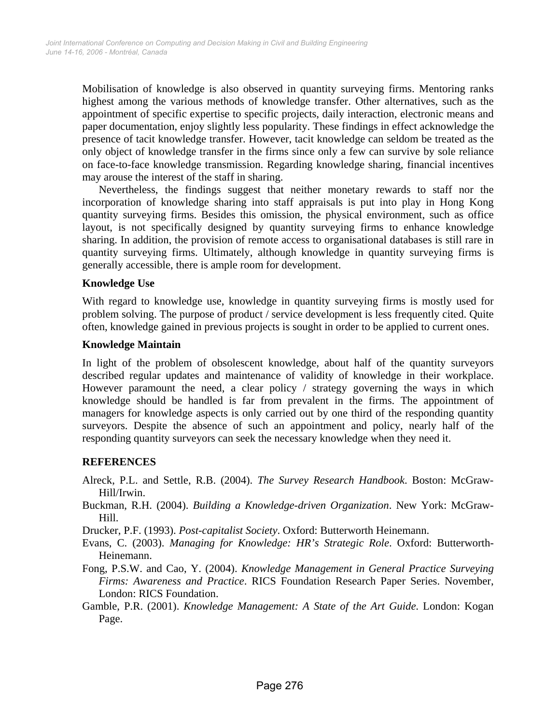Mobilisation of knowledge is also observed in quantity surveying firms. Mentoring ranks highest among the various methods of knowledge transfer. Other alternatives, such as the appointment of specific expertise to specific projects, daily interaction, electronic means and paper documentation, enjoy slightly less popularity. These findings in effect acknowledge the presence of tacit knowledge transfer. However, tacit knowledge can seldom be treated as the only object of knowledge transfer in the firms since only a few can survive by sole reliance on face-to-face knowledge transmission. Regarding knowledge sharing, financial incentives may arouse the interest of the staff in sharing.

Nevertheless, the findings suggest that neither monetary rewards to staff nor the incorporation of knowledge sharing into staff appraisals is put into play in Hong Kong quantity surveying firms. Besides this omission, the physical environment, such as office layout, is not specifically designed by quantity surveying firms to enhance knowledge sharing. In addition, the provision of remote access to organisational databases is still rare in quantity surveying firms. Ultimately, although knowledge in quantity surveying firms is generally accessible, there is ample room for development.

#### **Knowledge Use**

With regard to knowledge use, knowledge in quantity surveying firms is mostly used for problem solving. The purpose of product / service development is less frequently cited. Quite often, knowledge gained in previous projects is sought in order to be applied to current ones.

#### **Knowledge Maintain**

In light of the problem of obsolescent knowledge, about half of the quantity surveyors described regular updates and maintenance of validity of knowledge in their workplace. However paramount the need, a clear policy / strategy governing the ways in which knowledge should be handled is far from prevalent in the firms. The appointment of managers for knowledge aspects is only carried out by one third of the responding quantity surveyors. Despite the absence of such an appointment and policy, nearly half of the responding quantity surveyors can seek the necessary knowledge when they need it.

#### **REFERENCES**

- Alreck, P.L. and Settle, R.B. (2004). *The Survey Research Handbook*. Boston: McGraw-Hill/Irwin.
- Buckman, R.H. (2004). *Building a Knowledge-driven Organization*. New York: McGraw-Hill.

Drucker, P.F. (1993). *Post-capitalist Society*. Oxford: Butterworth Heinemann.

- Evans, C. (2003). *Managing for Knowledge: HR's Strategic Role*. Oxford: Butterworth-Heinemann.
- Fong, P.S.W. and Cao, Y. (2004). *Knowledge Management in General Practice Surveying Firms: Awareness and Practice*. RICS Foundation Research Paper Series. November, London: RICS Foundation.
- Gamble, P.R. (2001). *Knowledge Management: A State of the Art Guide*. London: Kogan Page.